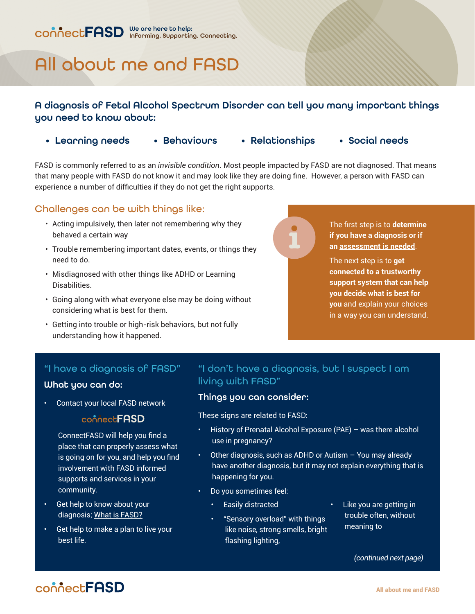# All about me and FASD

#### A diagnosis of Fetal Alcohol Spectrum Disorder can tell you many important things you need to know about:

- Learning needs Behaviours Relationships Social needs
	-
- 

FASD is commonly referred to as an *invisible condition*. Most people impacted by FASD are not diagnosed. That means that many people with FASD do not know it and may look like they are doing fine. However, a person with FASD can experience a number of difficulties if they do not get the right supports.

#### Challenges can be with things like:

- Acting impulsively, then later not remembering why they behaved a certain way
- Trouble remembering important dates, events, or things they need to do.
- Misdiagnosed with other things like ADHD or Learning Disabilities.
- Going along with what everyone else may be doing without considering what is best for them.
- Getting into trouble or high-risk behaviors, but not fully understanding how it happened.



The first step is to **determine if you have a diagnosis or if an [assessment is needed](http://connectfasd.ca/factsheets)**.

The next step is to **get connected to a trustworthy support system that can help you decide what is best for you** and explain your choices in a way you can understand.

### "I have a diagnosis of FASD"

#### What you can do:

• Contact your local FASD network

#### connectFASD

ConnectFASD will help you find a place that can properly assess what is going on for you, and help you find involvement with FASD informed supports and services in your community.

- Get help to know about your diagnosis; [What is FASD?](http://connectfasd.ca/factsheets)
- Get help to make a plan to live your best life.

#### "I don't have a diagnosis, but I suspect I am living with FASD"

#### Things you can consider:

These signs are related to FASD:

- History of Prenatal Alcohol Exposure (PAE) was there alcohol use in pregnancy?
- Other diagnosis, such as ADHD or Autism You may already have another diagnosis, but it may not explain everything that is happening for you.
- Do you sometimes feel:
	- Easily distracted
	- "Sensory overload" with things like noise, strong smells, bright flashing lighting,
- Like you are getting in trouble often, without meaning to

 *(continued next page)*

## connect**FASD**